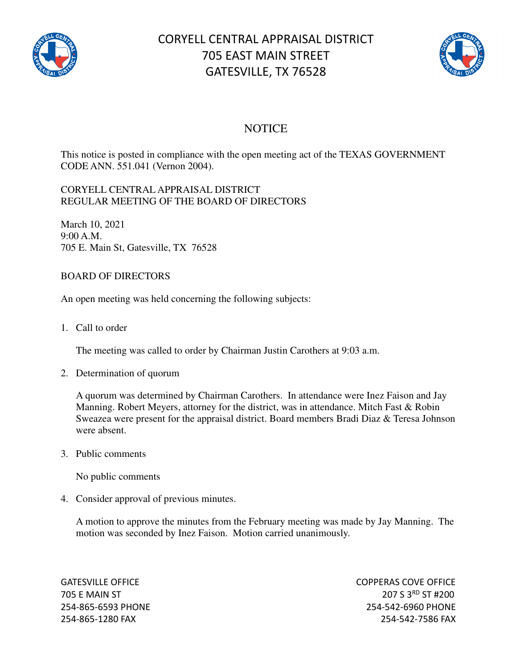

# CORYELL CENTRAL APPRAISAL DISTRICT 705 EAST MAIN STREET GATESVILLE, TX 76528



## **NOTICE**

This notice is posted in compliance with the open meeting act of the TEXAS GOVERNMENT CODE ANN. 551.041 (Vernon 2004).

#### CORYELL CENTRAL APPRAISAL DISTRICT REGULAR MEETING OF THE BOARD OF DIRECTORS

March 10, 2021 9:00 A.M. 705 E. Main St, Gatesville, TX 76528

### BOARD OF DIRECTORS

An open meeting was held concerning the following subjects:

1. Call to order

The meeting was called to order by Chairman Justin Carothers at 9:03 a.m.

2. Determination of quorum

A quorum was determined by Chairman Carothers. In attendance were Inez Faison and Jay Manning. Robert Meyers, attorney for the district, was in attendance. Mitch Fast & Robin Sweazea were present for the appraisal district. Board members Bradi Diaz & Teresa Johnson were absent.

3. Public comments

No public comments

4. Consider approval of previous minutes.

A motion to approve the minutes from the February meeting was made by Jay Manning. The motion was seconded by Inez Faison. Motion carried unanimously.

GATESVILLE OFFICE **COPPERAS COVE OF EXAMPLE 2** 705 E MAIN ST 207 S 3<sup>RD</sup> ST #200 254-865-6593 PHONE 254-542-6960 PHONE 254-865-1280 FAX 254-542-7586 FAX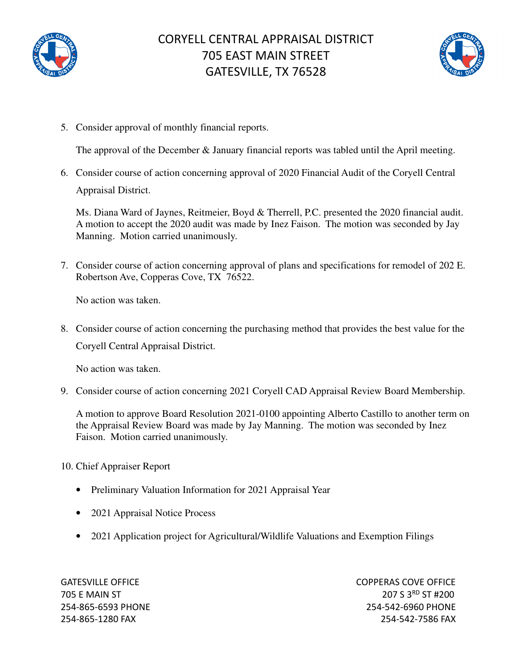



5. Consider approval of monthly financial reports.

The approval of the December & January financial reports was tabled until the April meeting.

6. Consider course of action concerning approval of 2020 Financial Audit of the Coryell Central Appraisal District.

Ms. Diana Ward of Jaynes, Reitmeier, Boyd & Therrell, P.C. presented the 2020 financial audit. A motion to accept the 2020 audit was made by Inez Faison. The motion was seconded by Jay Manning. Motion carried unanimously.

7. Consider course of action concerning approval of plans and specifications for remodel of 202 E. Robertson Ave, Copperas Cove, TX 76522.

No action was taken.

8. Consider course of action concerning the purchasing method that provides the best value for the Coryell Central Appraisal District.

No action was taken.

9. Consider course of action concerning 2021 Coryell CAD Appraisal Review Board Membership.

A motion to approve Board Resolution 2021-0100 appointing Alberto Castillo to another term on the Appraisal Review Board was made by Jay Manning. The motion was seconded by Inez Faison. Motion carried unanimously.

#### 10. Chief Appraiser Report

- Preliminary Valuation Information for 2021 Appraisal Year
- 2021 Appraisal Notice Process
- 2021 Application project for Agricultural/Wildlife Valuations and Exemption Filings

GATESVILLE OFFICE **COPPERAS COVE OF EXAMPLE 2** 705 E MAIN ST 207 S 3<sup>RD</sup> ST #200 254-865-6593 PHONE 254-542-6960 PHONE 254-865-1280 FAX 254-542-7586 FAX